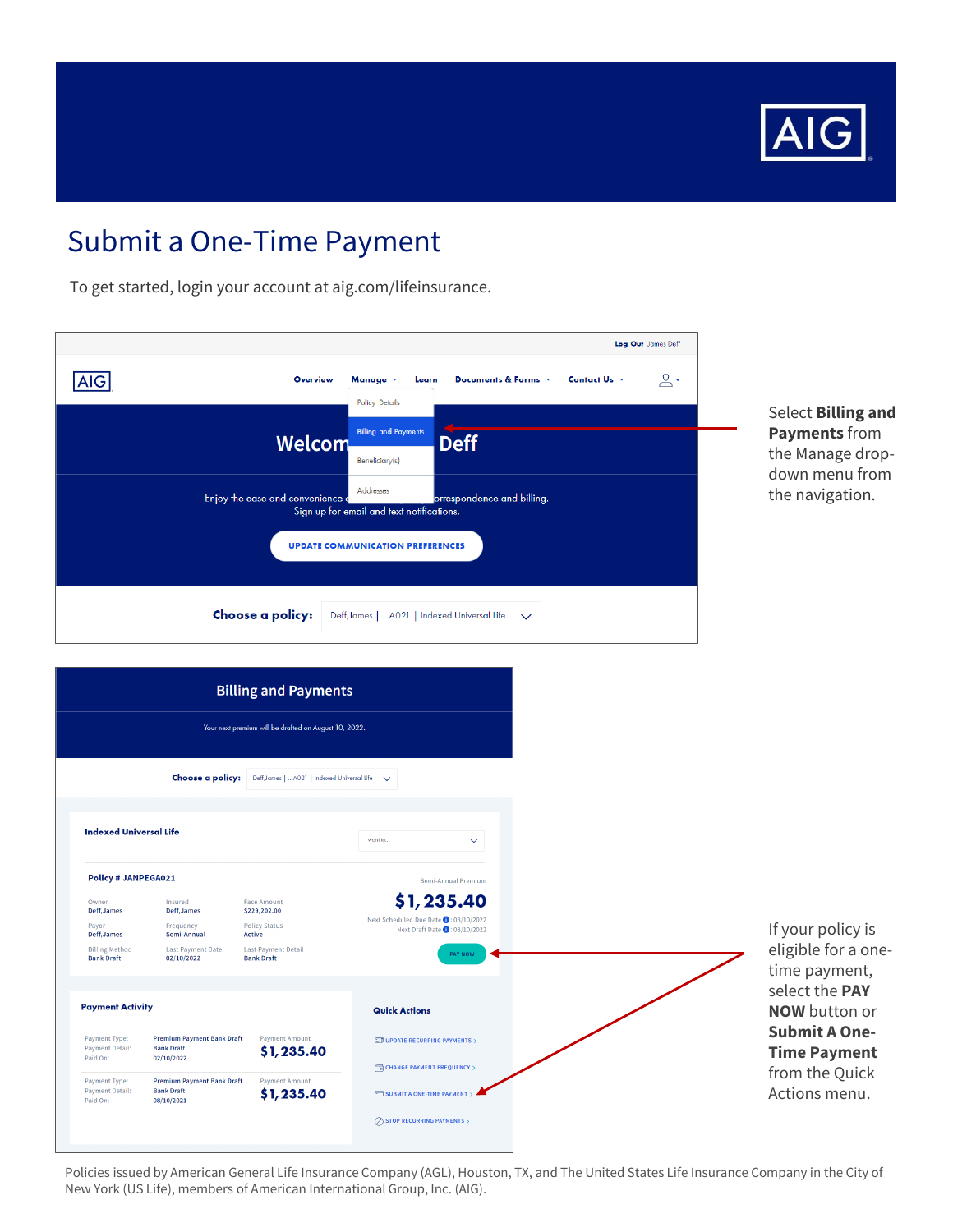

To get started, login your account at aig.com/lifeinsurance.

|            |                                  |                                                                          |                            |              | Log Out James Deff |
|------------|----------------------------------|--------------------------------------------------------------------------|----------------------------|--------------|--------------------|
| <b>AIG</b> | <b>Overview</b>                  | Manage *<br>Learn<br><b>Policy Details</b>                               | Documents & Forms *        | Contact Us + | $\mathbf{L}$       |
|            | Welcom                           | <b>Billing and Payments</b>                                              | <b>Deff</b>                |              |                    |
|            | Enjoy the ease and convenience a | Beneficiary(s)<br>Addresses<br>Sign up for email and text notifications. | orrespondence and billing. |              |                    |
|            |                                  | <b>UPDATE COMMUNICATION PREFERENCES</b>                                  |                            |              |                    |
|            | Choose a policy:                 | Deff, James    A021   Indexed Universal Life                             | $\checkmark$               |              |                    |

Select Billing and Payments from the Manage dropdown menu from the navigation.

|                                                           |                                                                      | <b>Billing and Payments</b>                                          |                                                                                       |                                             |
|-----------------------------------------------------------|----------------------------------------------------------------------|----------------------------------------------------------------------|---------------------------------------------------------------------------------------|---------------------------------------------|
|                                                           |                                                                      | Your next premium will be drafted on August 10, 2022.                |                                                                                       |                                             |
|                                                           |                                                                      | Choose a policy: Deff, James    A021   Indexed Universal Life $\vee$ |                                                                                       |                                             |
| <b>Indexed Universal Life</b>                             |                                                                      |                                                                      | I want to<br>$\checkmark$                                                             |                                             |
| Policy # JANPEGA021                                       |                                                                      |                                                                      | Semi-Annual Premium                                                                   |                                             |
| Owner<br>Deff, James<br>Payor                             | Insured<br>Deff, James<br>Frequency                                  | <b>Face Amount</b><br>\$229,202.00<br><b>Policy Status</b>           | \$1,235.40<br>Next Scheduled Due Date 0:08/10/2022<br>Next Draft Date (i): 08/10/2022 | If your policy is                           |
| Deff, James<br><b>Billing Method</b><br><b>Bank Draft</b> | Semi-Annual<br><b>Last Payment Date</b><br>02/10/2022                | Active<br><b>Last Payment Detail</b><br><b>Bank Draft</b>            | PAY NOW                                                                               | eligible for a one<br>time payment,         |
| <b>Payment Activity</b>                                   |                                                                      |                                                                      | <b>Quick Actions</b>                                                                  | select the PAY<br><b>NOW</b> button or      |
| Payment Type:<br><b>Payment Detail:</b><br>Paid On:       | <b>Premium Payment Bank Draft</b><br><b>Bank Draft</b><br>02/10/2022 | <b>Payment Amount</b><br>\$1,235.40                                  | $\square$ UPDATE RECURRING PAYMENTS $>$                                               | <b>Submit A One-</b><br><b>Time Payment</b> |
| Payment Type:<br><b>Payment Detail:</b><br>Paid On:       | <b>Premium Payment Bank Draft</b><br><b>Bank Draft</b><br>08/10/2021 | <b>Payment Amount</b><br>\$1,235.40                                  | CHANGE PAYMENT FREQUENCY ><br>SUBMIT A ONE-TIME PAYMENT                               | from the Quick<br>Actions menu.             |
|                                                           |                                                                      |                                                                      | $\oslash$ STOP RECURRING PAYMENTS $>$                                                 |                                             |

Policies issued by American General Life Insurance Company (AGL), Houston, TX, and The United States Life Insurance Company in the City of New York (US Life), members of American International Group, Inc. (AIG).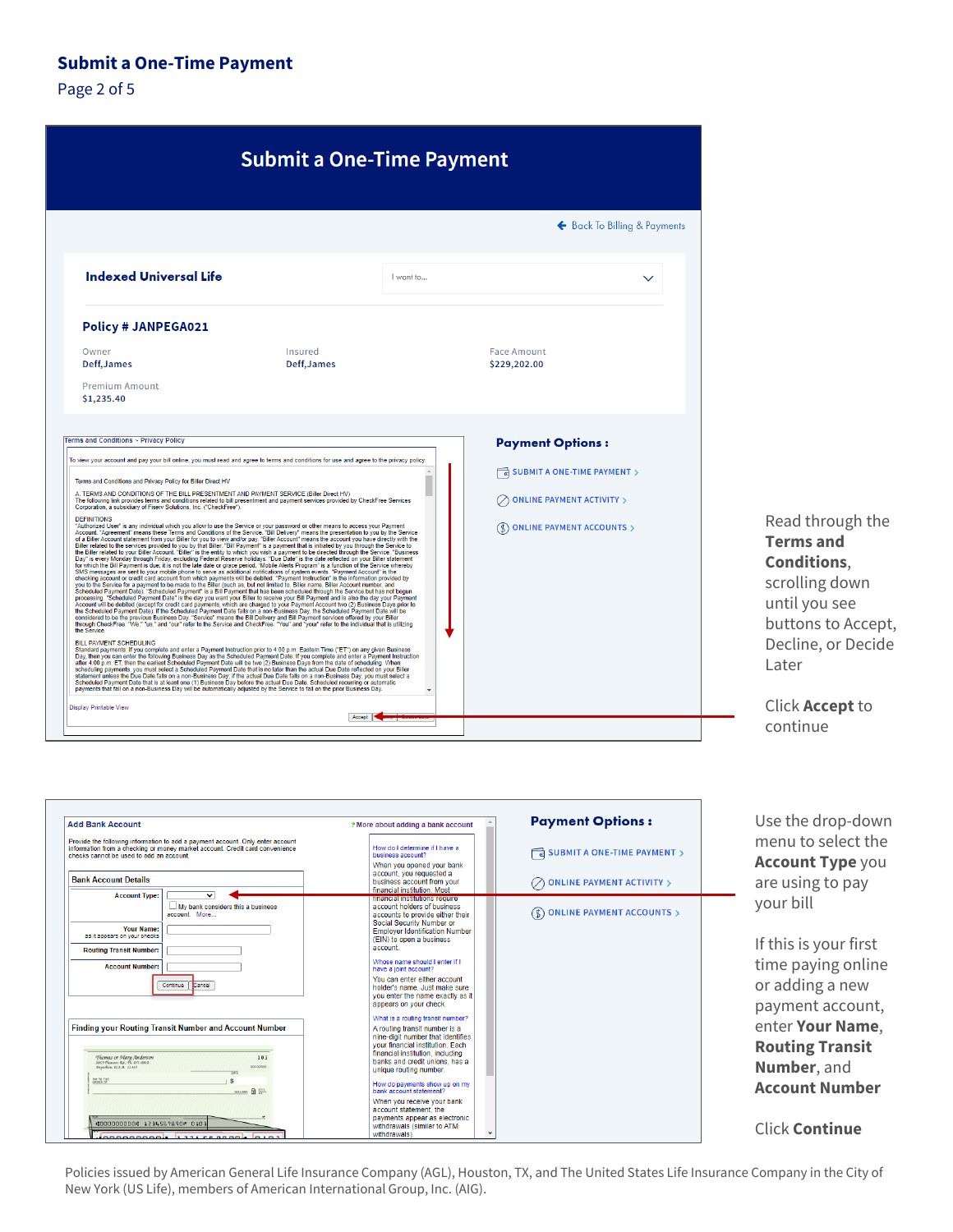Page 2 of 5

|                                                                                                                                                                                                                                                                                                                                                                                                                                                                                                                                                                                                                                                                                                                                                                                                                                                                                                                                                                                                                                                                                                                                                                                                                                                                                                                                                                                                                                                                                                                                                                                                                                                                                                                                                                                                                                                                                                                                                                                                                                                                                                                                                                                                                                                                                                                                                                                                                                                                                                                                                                                                                                                                                                                                                                                                                                                                                                                                                                                                                                                                                                                                                                                                                                                                                                                                                                                                                                                                                                                                                                                                                                                                                                                                                                                                       | <b>Submit a One-Time Payment</b> |           |                                                                                               |
|-------------------------------------------------------------------------------------------------------------------------------------------------------------------------------------------------------------------------------------------------------------------------------------------------------------------------------------------------------------------------------------------------------------------------------------------------------------------------------------------------------------------------------------------------------------------------------------------------------------------------------------------------------------------------------------------------------------------------------------------------------------------------------------------------------------------------------------------------------------------------------------------------------------------------------------------------------------------------------------------------------------------------------------------------------------------------------------------------------------------------------------------------------------------------------------------------------------------------------------------------------------------------------------------------------------------------------------------------------------------------------------------------------------------------------------------------------------------------------------------------------------------------------------------------------------------------------------------------------------------------------------------------------------------------------------------------------------------------------------------------------------------------------------------------------------------------------------------------------------------------------------------------------------------------------------------------------------------------------------------------------------------------------------------------------------------------------------------------------------------------------------------------------------------------------------------------------------------------------------------------------------------------------------------------------------------------------------------------------------------------------------------------------------------------------------------------------------------------------------------------------------------------------------------------------------------------------------------------------------------------------------------------------------------------------------------------------------------------------------------------------------------------------------------------------------------------------------------------------------------------------------------------------------------------------------------------------------------------------------------------------------------------------------------------------------------------------------------------------------------------------------------------------------------------------------------------------------------------------------------------------------------------------------------------------------------------------------------------------------------------------------------------------------------------------------------------------------------------------------------------------------------------------------------------------------------------------------------------------------------------------------------------------------------------------------------------------------------------------------------------------------------------------------------------------|----------------------------------|-----------|-----------------------------------------------------------------------------------------------|
|                                                                                                                                                                                                                                                                                                                                                                                                                                                                                                                                                                                                                                                                                                                                                                                                                                                                                                                                                                                                                                                                                                                                                                                                                                                                                                                                                                                                                                                                                                                                                                                                                                                                                                                                                                                                                                                                                                                                                                                                                                                                                                                                                                                                                                                                                                                                                                                                                                                                                                                                                                                                                                                                                                                                                                                                                                                                                                                                                                                                                                                                                                                                                                                                                                                                                                                                                                                                                                                                                                                                                                                                                                                                                                                                                                                                       |                                  |           | ← Back To Billing & Payments                                                                  |
| Indexed Universal Life                                                                                                                                                                                                                                                                                                                                                                                                                                                                                                                                                                                                                                                                                                                                                                                                                                                                                                                                                                                                                                                                                                                                                                                                                                                                                                                                                                                                                                                                                                                                                                                                                                                                                                                                                                                                                                                                                                                                                                                                                                                                                                                                                                                                                                                                                                                                                                                                                                                                                                                                                                                                                                                                                                                                                                                                                                                                                                                                                                                                                                                                                                                                                                                                                                                                                                                                                                                                                                                                                                                                                                                                                                                                                                                                                                                |                                  | I want to |                                                                                               |
| Policy # JANPEGA021                                                                                                                                                                                                                                                                                                                                                                                                                                                                                                                                                                                                                                                                                                                                                                                                                                                                                                                                                                                                                                                                                                                                                                                                                                                                                                                                                                                                                                                                                                                                                                                                                                                                                                                                                                                                                                                                                                                                                                                                                                                                                                                                                                                                                                                                                                                                                                                                                                                                                                                                                                                                                                                                                                                                                                                                                                                                                                                                                                                                                                                                                                                                                                                                                                                                                                                                                                                                                                                                                                                                                                                                                                                                                                                                                                                   |                                  |           |                                                                                               |
| Owner<br>Deff, James                                                                                                                                                                                                                                                                                                                                                                                                                                                                                                                                                                                                                                                                                                                                                                                                                                                                                                                                                                                                                                                                                                                                                                                                                                                                                                                                                                                                                                                                                                                                                                                                                                                                                                                                                                                                                                                                                                                                                                                                                                                                                                                                                                                                                                                                                                                                                                                                                                                                                                                                                                                                                                                                                                                                                                                                                                                                                                                                                                                                                                                                                                                                                                                                                                                                                                                                                                                                                                                                                                                                                                                                                                                                                                                                                                                  | Insured<br>Deff, James           |           | <b>Face Amount</b><br>\$229,202.00                                                            |
| <b>Premium Amount</b><br>\$1,235.40                                                                                                                                                                                                                                                                                                                                                                                                                                                                                                                                                                                                                                                                                                                                                                                                                                                                                                                                                                                                                                                                                                                                                                                                                                                                                                                                                                                                                                                                                                                                                                                                                                                                                                                                                                                                                                                                                                                                                                                                                                                                                                                                                                                                                                                                                                                                                                                                                                                                                                                                                                                                                                                                                                                                                                                                                                                                                                                                                                                                                                                                                                                                                                                                                                                                                                                                                                                                                                                                                                                                                                                                                                                                                                                                                                   |                                  |           |                                                                                               |
|                                                                                                                                                                                                                                                                                                                                                                                                                                                                                                                                                                                                                                                                                                                                                                                                                                                                                                                                                                                                                                                                                                                                                                                                                                                                                                                                                                                                                                                                                                                                                                                                                                                                                                                                                                                                                                                                                                                                                                                                                                                                                                                                                                                                                                                                                                                                                                                                                                                                                                                                                                                                                                                                                                                                                                                                                                                                                                                                                                                                                                                                                                                                                                                                                                                                                                                                                                                                                                                                                                                                                                                                                                                                                                                                                                                                       |                                  |           | <b>Payment Options:</b>                                                                       |
|                                                                                                                                                                                                                                                                                                                                                                                                                                                                                                                                                                                                                                                                                                                                                                                                                                                                                                                                                                                                                                                                                                                                                                                                                                                                                                                                                                                                                                                                                                                                                                                                                                                                                                                                                                                                                                                                                                                                                                                                                                                                                                                                                                                                                                                                                                                                                                                                                                                                                                                                                                                                                                                                                                                                                                                                                                                                                                                                                                                                                                                                                                                                                                                                                                                                                                                                                                                                                                                                                                                                                                                                                                                                                                                                                                                                       |                                  |           | SUBMIT A ONE-TIME PAYMENT >                                                                   |
|                                                                                                                                                                                                                                                                                                                                                                                                                                                                                                                                                                                                                                                                                                                                                                                                                                                                                                                                                                                                                                                                                                                                                                                                                                                                                                                                                                                                                                                                                                                                                                                                                                                                                                                                                                                                                                                                                                                                                                                                                                                                                                                                                                                                                                                                                                                                                                                                                                                                                                                                                                                                                                                                                                                                                                                                                                                                                                                                                                                                                                                                                                                                                                                                                                                                                                                                                                                                                                                                                                                                                                                                                                                                                                                                                                                                       |                                  |           | <b>ONLINE PAYMENT ACTIVITY &gt;</b><br>$\left(\frac{1}{2}\right)$ ONLINE PAYMENT ACCOUNTS $>$ |
|                                                                                                                                                                                                                                                                                                                                                                                                                                                                                                                                                                                                                                                                                                                                                                                                                                                                                                                                                                                                                                                                                                                                                                                                                                                                                                                                                                                                                                                                                                                                                                                                                                                                                                                                                                                                                                                                                                                                                                                                                                                                                                                                                                                                                                                                                                                                                                                                                                                                                                                                                                                                                                                                                                                                                                                                                                                                                                                                                                                                                                                                                                                                                                                                                                                                                                                                                                                                                                                                                                                                                                                                                                                                                                                                                                                                       |                                  |           |                                                                                               |
| Terms and Conditions ~ Privacy Policy<br>To view your account and pay your bill online, you must read and agree to terms and conditions for use and agree to the privacy policy.<br>Terms and Conditions and Privacy Policy for Biller Direct HV<br>A. TERMS AND CONDITIONS OF THE BILL PRESENTMENT AND PAYMENT SERVICE (Biller Direct HV)<br>The following link provides terms and conditions related to bill presentment and payment services provided by CheckFree Services<br>Corporation, a subsidiary of Fiserv Solutions, Inc. ("CheckFree").<br><b>DEFINITIONS</b><br>"Authorized User" is any individual which you allow to use the Service or your password or other means to access your Payment<br>Account. "Agreement" means these Terms and Conditions of the Service. "Bill Delivery" means the presentation to you by the Service<br>of a Biller Account statement from your Biller for you to view and/or pay. "Biller Account" means the account you have directly with the<br>Biller related to the services provided to you by that Biller. "Bill Payment" is a payment that is initiated by you through the Service to<br>the Biller related to your Biller Account. "Biller" is the entity to which you wish a payment to be directed through the Service. "Business<br>Day" is every Monday through Friday, excluding Federal Reserve holidays. "Due Date" is the date reflected on your Biller statement<br>for which the Bill Payment is due; it is not the late date or grace period, "Mobile Alerts Program" is a function of the Service whereby<br>SMS messages are sent to your mobile phone to serve as additional notifications of system events. "Payment Account" is the<br>checking account or credit card account from which payments will be debited. "Payment Instruction" is the information provided by<br>you to the Service for a payment to be made to the Biller (such as, but not limited to, Biller name, Biller Account number, and<br>Scheduled Payment Date). "Scheduled Payment" is a Bill Payment that has been scheduled through the Service but has not begun<br>processing. "Scheduled Payment Date" is the day you want your Biller to receive your Bill Payment and is also the day your Payment<br>Account will be debited (except for credit card payments, which are charged to your Payment Account two (2) Business Days prior to<br>the Scheduled Payment Date); if the Scheduled Payment Date falls on a non-Business Day, the Scheduled Payment Date will be<br>considered to be the previous Business Day. "Service" means the Bill Delivery and Bill Payment services offered by your Biller<br>through CheckFree. "We," "us," and "our" refer to the Service and CheckFree. "You" and "your" refer to the individual that is utilizing<br>the Service.<br><b>BILL PAYMENT SCHEDULING</b><br>Standard payments: If you complete and enter a Payment Instruction prior to 4:00 p.m. Eastern Time ("ET") on any given Business<br>Day, then you can enter the following Business Day as the Scheduled Payment Date. If you complete and enter a Payment Instruction<br>after 4:00 p.m. ET, then the earliest Scheduled Payment Date will be two (2) Business Days from the date of scheduling. When<br>scheduling payments, you must select a Scheduled Payment Date that is no later than the actual Due Date reflected on your Biller<br>statement unless the Due Date falls on a non-Business Day; if the actual Due Date falls on a non-Business Day, you must select a<br>Scheduled Payment Date that is at least one (1) Business Day before the actual Due Date. Scheduled recurring or automatic<br>payments that fall on a non-Business Day will be automatically adjusted by the Service to fall on the prior Business Day. |                                  |           |                                                                                               |

#### Read through the **Terms and Conditions.** scrolling down until you see buttons to Accept, Decline, or Decide Later

Click **Accept** to continue

| <b>Add Bank Account</b>                                                                                                                                                                                    | ? More about adding a bank account                                                                                                                                                                                                          | <b>Payment Options:</b>             |
|------------------------------------------------------------------------------------------------------------------------------------------------------------------------------------------------------------|---------------------------------------------------------------------------------------------------------------------------------------------------------------------------------------------------------------------------------------------|-------------------------------------|
| Provide the following information to add a payment account. Only enter account<br>information from a checking or money market account. Credit card convenience<br>checks cannot be used to add an account. | How do I determine if I have a<br>business account?<br>When you opened your bank<br>account, you requested a                                                                                                                                | SUBMIT A ONE-TIME PAYMENT >         |
| <b>Bank Account Details</b>                                                                                                                                                                                | business account from your<br>financial institution. Most                                                                                                                                                                                   | <b>ONLINE PAYMENT ACTIVITY &gt;</b> |
| <b>Account Type:</b><br>$\checkmark$<br>$\Box$ My bank considers this a business<br>account. More<br><b>Your Name:</b><br>as it appears on your checks                                                     | <b>INFINER INSTANCTIONS COUNCI</b><br>account holders of business<br>accounts to provide either their<br>Social Security Number or<br><b>Employer Identification Number</b><br>(EIN) to open a business                                     | <b>ONLINE PAYMENT ACCOUNTS &gt;</b> |
| <b>Routing Transit Number:</b><br><b>Account Number:</b>                                                                                                                                                   | account.<br>Whose name should I enter if I                                                                                                                                                                                                  |                                     |
| Continue<br>Cancel                                                                                                                                                                                         | have a joint account?<br>You can enter either account<br>holder's name. Just make sure<br>you enter the name exactly as it<br>appears on your check.                                                                                        |                                     |
| <b>Finding your Routing Transit Number and Account Number</b><br>Thomas or Mary Anderson<br>103<br>2063 Pleasant Rd., Ph. 851-0811<br>Standard, U.S.S. 12345<br>100-00/000                                 | What is a routing transit number?<br>A routing transit number is a<br>nine-digit number that identifies<br>vour financial institution. Each<br>financial institution, including<br>banks and credit unions, has a<br>unique routing number. |                                     |
| <b>BRY TO THE</b><br>DOLLARS A INC.                                                                                                                                                                        | How do payments show up on my<br>bank account statement?                                                                                                                                                                                    |                                     |
| *0000000000 1234567890 0103<br>---------- - --------                                                                                                                                                       | When you receive your bank<br>account statement, the<br>payments appear as electronic<br>withdrawals (similar to ATM<br>withdrawals).                                                                                                       |                                     |

Use the drop-down menu to select the **Account Type you** are using to pay your bill

If this is your first time paying online or adding a new payment account, enter Your Name, **Routing Transit** Number, and **Account Number** 

**Click Continue** 

Policies issued by American General Life Insurance Company (AGL), Houston, TX, and The United States Life Insurance Company in the City of New York (US Life), members of American International Group, Inc. (AIG).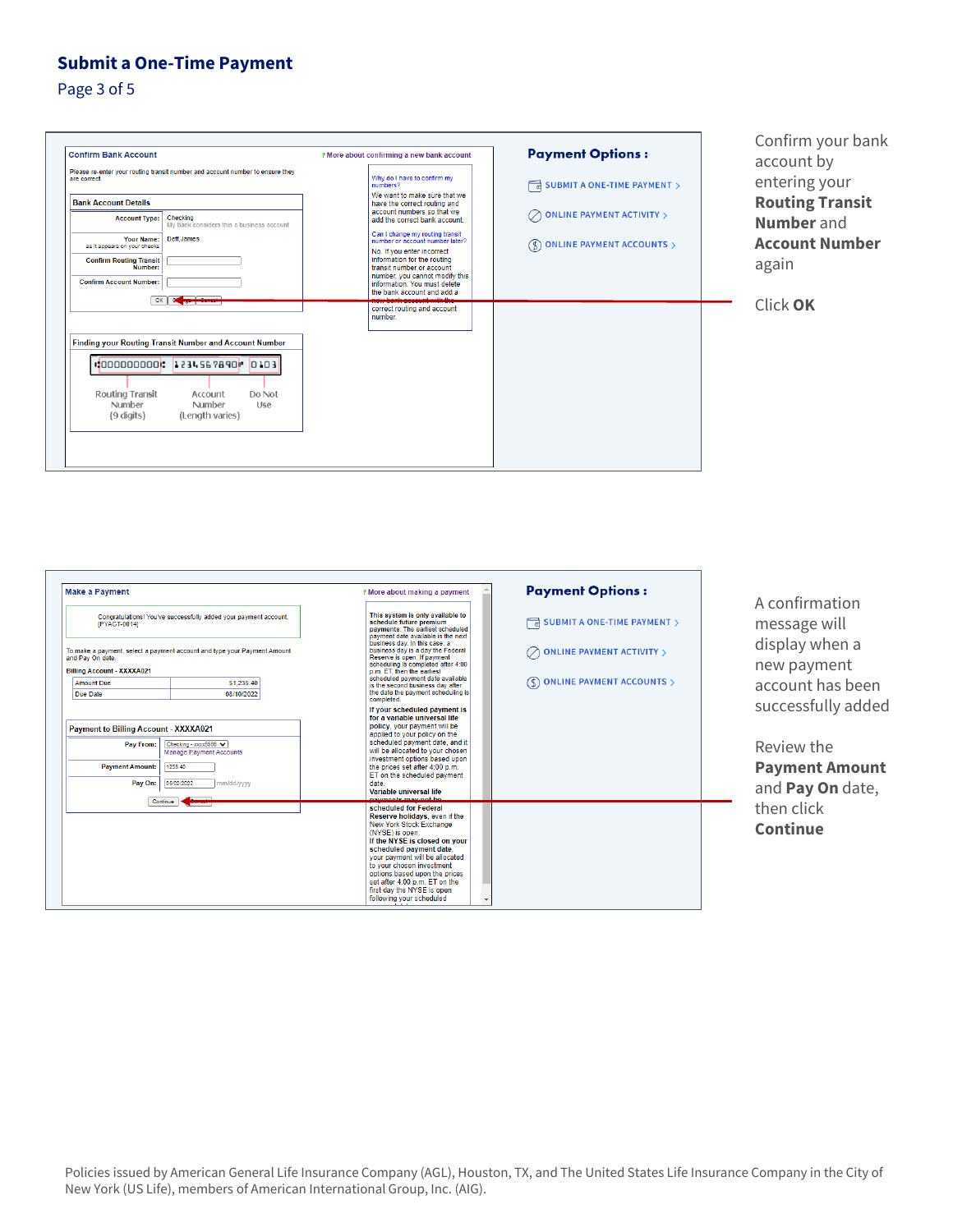Page 3 of 5



Confirm your bank account by entering your **Routing Transit Number** and **Account Number**  again

Click **OK** 



A confirmation message will display when a new payment account has been successfully added

Review the **Payment Amount**  and **Pay On** date, then click **Continue** 

 Policies issued by American General Life Insurance Company (AGL), Houston, TX, and The United States Life Insurance Company in the City of New York (US Life), members of American International Group, Inc. (AIG).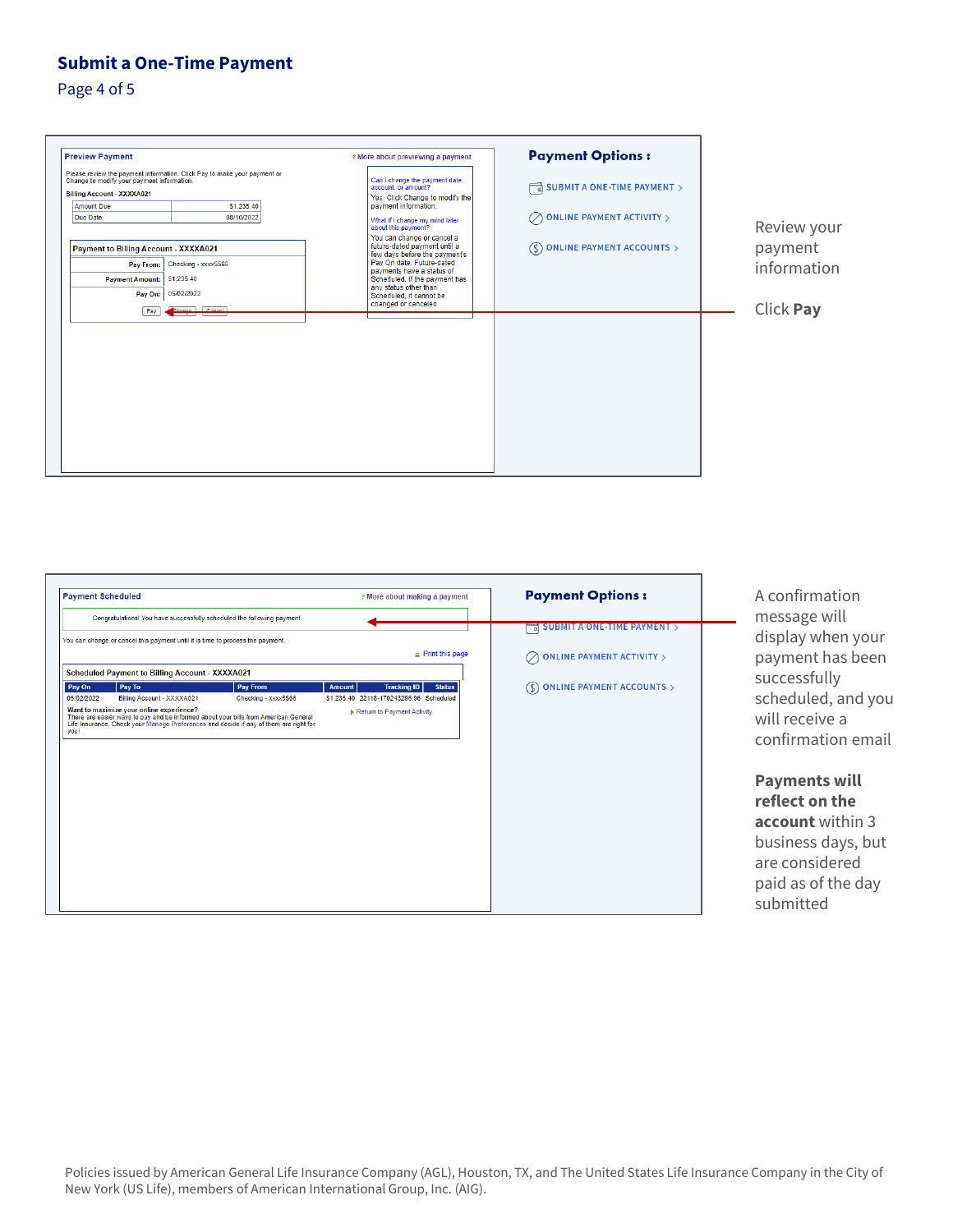Page 4 of 5

| <b>Preview Payment</b>                                                                  |                                                                          | ? More about previewing a payment                                                                                                                                                                                                                                  | <b>Payment Options:</b>                        |
|-----------------------------------------------------------------------------------------|--------------------------------------------------------------------------|--------------------------------------------------------------------------------------------------------------------------------------------------------------------------------------------------------------------------------------------------------------------|------------------------------------------------|
| Change to modify your payment information.<br><b>Billing Account - XXXXA021</b>         | Please review the payment information. Click Pay to make your payment or | Can I change the payment date,<br>account, or amount?                                                                                                                                                                                                              | SUBMIT A ONE-TIME PAYMENT >                    |
| <b>Amount Due</b>                                                                       | \$1,235.40                                                               | Yes. Click Change to modify the<br>payment information.                                                                                                                                                                                                            |                                                |
| <b>Due Date</b>                                                                         | 08/10/2022                                                               | What if I change my mind later<br>about this payment?                                                                                                                                                                                                              | <b>ONLINE PAYMENT ACTIVITY &gt;</b>            |
| Payment to Billing Account - XXXXA021<br>Pay From:<br><b>Payment Amount:</b><br>Pay On: | Checking - xxxx5566<br>\$1,235.40<br>05/02/2022                          | You can change or cancel a<br>future-dated payment until a<br>few days before the payment's<br>Pay On date. Future-dated<br>payments have a status of<br>Scheduled. If the payment has<br>any status other than<br>Scheduled, it cannot be<br>changed or canceled. | <b>ONLINE PAYMENT ACCOUNTS &gt;</b><br>$($ \$) |
| Pay                                                                                     | <b>Council</b>                                                           |                                                                                                                                                                                                                                                                    |                                                |
|                                                                                         |                                                                          |                                                                                                                                                                                                                                                                    |                                                |
|                                                                                         |                                                                          |                                                                                                                                                                                                                                                                    |                                                |
|                                                                                         |                                                                          |                                                                                                                                                                                                                                                                    |                                                |

## Review your payment information

Click **Pay** 

| Congratulations! You have successfully scheduled the following payment.<br><b>SUBMIT A ONE-TIME PAYMENT &gt;</b><br>ਰ<br>You can change or cancel this payment until it is time to process the payment.<br>$\equiv$ Print this page<br><b>Scheduled Payment to Billing Account - XXXXA021</b><br>Pay To<br>Pay From<br><b>Tracking ID</b><br><b>Status</b><br><b>Amount</b><br>$(6)$<br>05/02/2022<br>Checking - xxxx5566<br>\$1,235.40 22118-170243296.96 Scheduled<br>Billing Account - XXXXA021<br>Want to maximize your online experience?<br>Return to Payment Activity<br>There are easier ways to pay and be informed about your bills from American General<br>Life Insurance. Check your Manage Preferences and decide if any of them are right for<br>you! | <b>Payment Scheduled</b> |  | ? More about making a payment | <b>Payment Options:</b> |
|----------------------------------------------------------------------------------------------------------------------------------------------------------------------------------------------------------------------------------------------------------------------------------------------------------------------------------------------------------------------------------------------------------------------------------------------------------------------------------------------------------------------------------------------------------------------------------------------------------------------------------------------------------------------------------------------------------------------------------------------------------------------|--------------------------|--|-------------------------------|-------------------------|
|                                                                                                                                                                                                                                                                                                                                                                                                                                                                                                                                                                                                                                                                                                                                                                      |                          |  |                               |                         |
| <b>ONLINE PAYMENT ACTIVITY &gt;</b>                                                                                                                                                                                                                                                                                                                                                                                                                                                                                                                                                                                                                                                                                                                                  |                          |  |                               |                         |
|                                                                                                                                                                                                                                                                                                                                                                                                                                                                                                                                                                                                                                                                                                                                                                      |                          |  |                               |                         |
|                                                                                                                                                                                                                                                                                                                                                                                                                                                                                                                                                                                                                                                                                                                                                                      |                          |  |                               |                         |
| <b>ONLINE PAYMENT ACCOUNTS &gt;</b>                                                                                                                                                                                                                                                                                                                                                                                                                                                                                                                                                                                                                                                                                                                                  |                          |  |                               |                         |
|                                                                                                                                                                                                                                                                                                                                                                                                                                                                                                                                                                                                                                                                                                                                                                      | Pay On                   |  |                               |                         |
|                                                                                                                                                                                                                                                                                                                                                                                                                                                                                                                                                                                                                                                                                                                                                                      |                          |  |                               |                         |
|                                                                                                                                                                                                                                                                                                                                                                                                                                                                                                                                                                                                                                                                                                                                                                      |                          |  |                               |                         |
|                                                                                                                                                                                                                                                                                                                                                                                                                                                                                                                                                                                                                                                                                                                                                                      |                          |  |                               |                         |

A confirmation message will display when your payment has been successfully scheduled, and you will receive a confirmation email

> paid as of the day **Payments will reflect on the account** within 3 business days, but are considered submitted